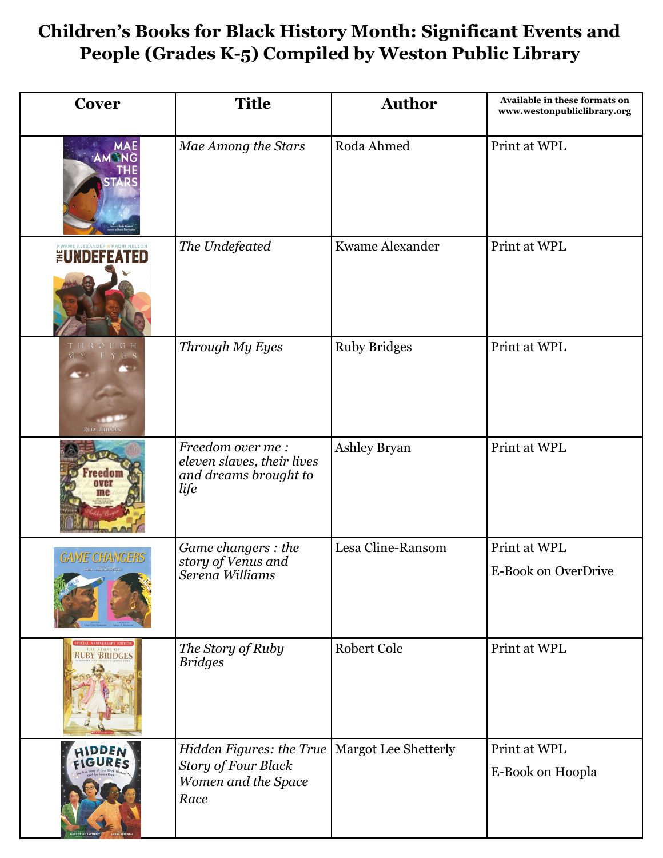## **Children's Books for Black History Month: Significant Events and People (Grades K-5) Compiled by Weston Public Library**

| Cover                                         | <b>Title</b>                                                                          | <b>Author</b>        | Available in these formats on<br>www.westonpubliclibrary.org |
|-----------------------------------------------|---------------------------------------------------------------------------------------|----------------------|--------------------------------------------------------------|
| <b>MAE</b><br>AMONG                           | Mae Among the Stars                                                                   | Roda Ahmed           | Print at WPL                                                 |
| <b>EUNDEFEATED</b>                            | The Undefeated                                                                        | Kwame Alexander      | Print at WPL                                                 |
| THROUGH<br>Y E S<br>M Y<br><b>RUBY BRIDGE</b> | Through My Eyes                                                                       | <b>Ruby Bridges</b>  | Print at WPL                                                 |
| eedat                                         | Freedom over me:<br>eleven slaves, their lives<br>and dreams brought to<br>life       | Ashley Bryan         | Print at WPL                                                 |
| <b>GAME CHANGERS</b>                          | Game changers : the<br>story of Venus and<br>Serena Williams                          | Lesa Cline-Ransom    | Print at WPL<br>E-Book on OverDrive                          |
| <b>RUBY BRIDGES</b>                           | The Story of Ruby<br><b>Bridges</b>                                                   | Robert Cole          | Print at WPL                                                 |
| HIDDEN<br>FIGURES                             | Hidden Figures: the True<br><b>Story of Four Black</b><br>Women and the Space<br>Race | Margot Lee Shetterly | Print at WPL<br>E-Book on Hoopla                             |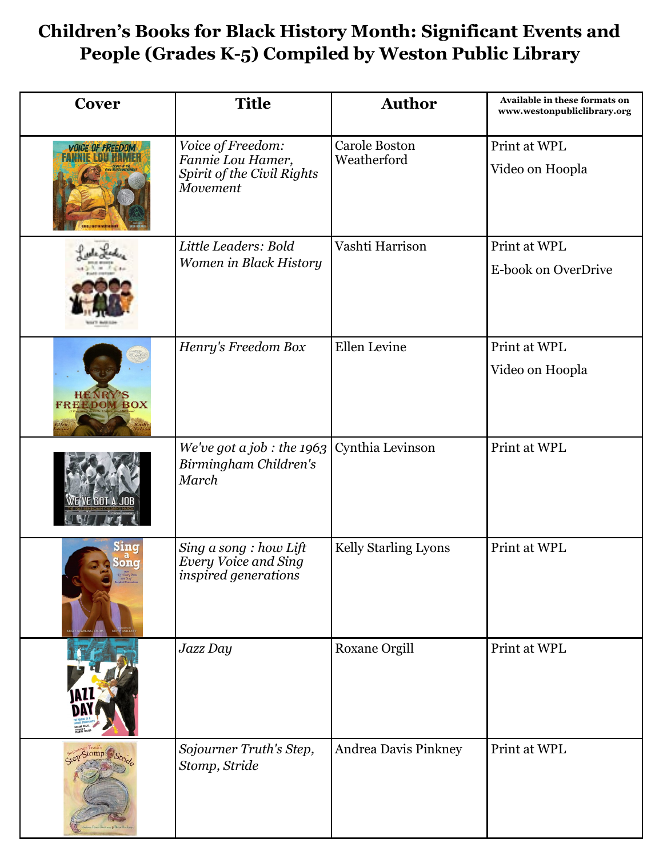## **Children's Books for Black History Month: Significant Events and People (Grades K-5) Compiled by Weston Public Library**

| Cover                          | <b>Title</b>                                                                         | <b>Author</b>                       | Available in these formats on<br>www.westonpubliclibrary.org |
|--------------------------------|--------------------------------------------------------------------------------------|-------------------------------------|--------------------------------------------------------------|
| <b>VOICE OF FREEDOM</b>        | Voice of Freedom:<br>Fannie Lou Hamer,<br>Spirit of the Civil Rights<br>Movement     | <b>Carole Boston</b><br>Weatherford | Print at WPL<br>Video on Hoopla                              |
|                                | Little Leaders: Bold<br>Women in Black History                                       | Vashti Harrison                     | Print at WPL<br>E-book on OverDrive                          |
| <b>HENRY'S<br/>FREEDOM BOX</b> | Henry's Freedom Box                                                                  | Ellen Levine                        | Print at WPL<br>Video on Hoopla                              |
| WE'VE GOT A JOB                | We've got a job : the $1963$<br>Birmingham Children's<br>March                       | Cynthia Levinson                    | Print at WPL                                                 |
| Sing<br>Song                   | Sing a song : how Lift<br><b>Every Voice and Sing</b><br><i>inspired generations</i> | Kelly Starling Lyons                | Print at WPL                                                 |
|                                | Jazz Day                                                                             | Roxane Orgill                       | Print at WPL                                                 |
|                                | Sojourner Truth's Step,<br>Stomp, Stride                                             | Andrea Davis Pinkney                | Print at WPL                                                 |